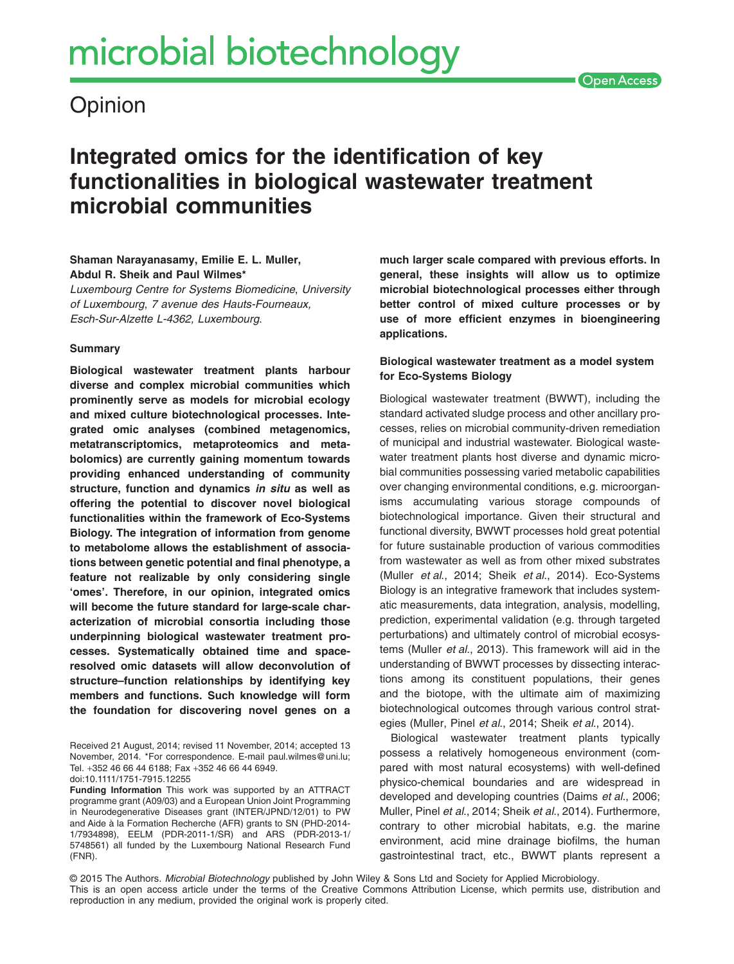# **Opinion**

# **Integrated omics for the identification of key functionalities in biological wastewater treatment microbial communities**

# **Shaman Narayanasamy, Emilie E. L. Muller, Abdul R. Sheik and Paul Wilmes\***

*Luxembourg Centre for Systems Biomedicine*, *University of Luxembourg*, *7 avenue des Hauts-Fourneaux, Esch-Sur-Alzette L-4362, Luxembourg*.

### **Summary**

**Biological wastewater treatment plants harbour diverse and complex microbial communities which prominently serve as models for microbial ecology and mixed culture biotechnological processes. Integrated omic analyses (combined metagenomics, metatranscriptomics, metaproteomics and metabolomics) are currently gaining momentum towards providing enhanced understanding of community structure, function and dynamics** *in situ* **as well as offering the potential to discover novel biological functionalities within the framework of Eco-Systems Biology. The integration of information from genome to metabolome allows the establishment of associations between genetic potential and final phenotype, a feature not realizable by only considering single 'omes'. Therefore, in our opinion, integrated omics will become the future standard for large-scale characterization of microbial consortia including those underpinning biological wastewater treatment processes. Systematically obtained time and spaceresolved omic datasets will allow deconvolution of structure–function relationships by identifying key members and functions. Such knowledge will form the foundation for discovering novel genes on a**

**Funding Information** This work was supported by an ATTRACT programme grant (A09/03) and a European Union Joint Programming in Neurodegenerative Diseases grant (INTER/JPND/12/01) to PW and Aide à la Formation Recherche (AFR) grants to SN (PHD-2014- 1/7934898), EELM (PDR-2011-1/SR) and ARS (PDR-2013-1/ 5748561) all funded by the Luxembourg National Research Fund (FNR).

**much larger scale compared with previous efforts. In general, these insights will allow us to optimize microbial biotechnological processes either through better control of mixed culture processes or by use of more efficient enzymes in bioengineering applications.**

**Open Access** 

# **Biological wastewater treatment as a model system for Eco-Systems Biology**

Biological wastewater treatment (BWWT), including the standard activated sludge process and other ancillary processes, relies on microbial community-driven remediation of municipal and industrial wastewater. Biological wastewater treatment plants host diverse and dynamic microbial communities possessing varied metabolic capabilities over changing environmental conditions, e.g. microorganisms accumulating various storage compounds of biotechnological importance. Given their structural and functional diversity, BWWT processes hold great potential for future sustainable production of various commodities from wastewater as well as from other mixed substrates (Muller *et al*., 2014; Sheik *et al*., 2014). Eco-Systems Biology is an integrative framework that includes systematic measurements, data integration, analysis, modelling, prediction, experimental validation (e.g. through targeted perturbations) and ultimately control of microbial ecosystems (Muller *et al*., 2013). This framework will aid in the understanding of BWWT processes by dissecting interactions among its constituent populations, their genes and the biotope, with the ultimate aim of maximizing biotechnological outcomes through various control strategies (Muller, Pinel *et al*., 2014; Sheik *et al*., 2014).

Biological wastewater treatment plants typically possess a relatively homogeneous environment (compared with most natural ecosystems) with well-defined physico-chemical boundaries and are widespread in developed and developing countries (Daims *et al*., 2006; Muller, Pinel *et al*., 2014; Sheik *et al*., 2014). Furthermore, contrary to other microbial habitats, e.g. the marine environment, acid mine drainage biofilms, the human gastrointestinal tract, etc., BWWT plants represent a

© 2015 The Authors. *Microbial Biotechnology* published by John Wiley & Sons Ltd and Society for Applied Microbiology. This is an open access article under the terms of the [Creative Commons Attribution](http://creativecommons.org/licenses/by/4.0/) License, which permits use, distribution and reproduction in any medium, provided the original work is properly cited.

Received 21 August, 2014; revised 11 November, 2014; accepted 13 November, 2014. \*For correspondence. E-mail [paul.wilmes@uni.lu;](mailto:paul.wilmes@uni.lu) Tel. +352 46 66 44 6188; Fax +352 46 66 44 6949. doi:10.1111/1751-7915.12255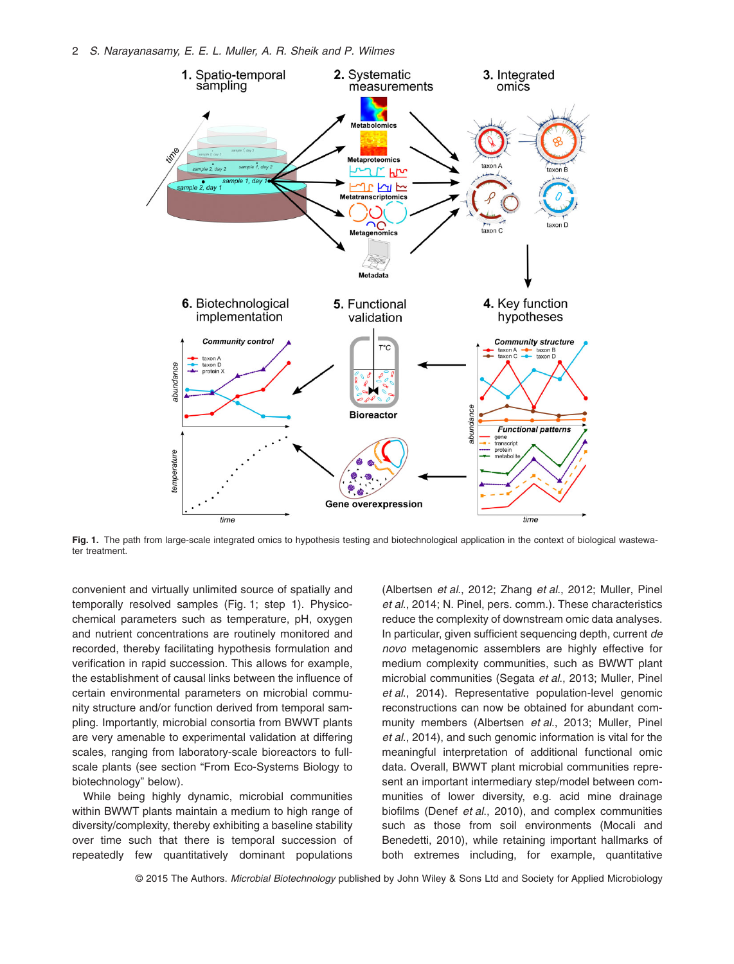

**Fig. 1.** The path from large-scale integrated omics to hypothesis testing and biotechnological application in the context of biological wastewater treatment

convenient and virtually unlimited source of spatially and temporally resolved samples (Fig. 1; step 1). Physicochemical parameters such as temperature, pH, oxygen and nutrient concentrations are routinely monitored and recorded, thereby facilitating hypothesis formulation and verification in rapid succession. This allows for example, the establishment of causal links between the influence of certain environmental parameters on microbial community structure and/or function derived from temporal sampling. Importantly, microbial consortia from BWWT plants are very amenable to experimental validation at differing scales, ranging from laboratory-scale bioreactors to fullscale plants (see section "From Eco-Systems Biology to biotechnology" below).

While being highly dynamic, microbial communities within BWWT plants maintain a medium to high range of diversity/complexity, thereby exhibiting a baseline stability over time such that there is temporal succession of repeatedly few quantitatively dominant populations (Albertsen *et al*., 2012; Zhang *et al*., 2012; Muller, Pinel *et al*., 2014; N. Pinel, pers. comm.). These characteristics reduce the complexity of downstream omic data analyses. In particular, given sufficient sequencing depth, current *de novo* metagenomic assemblers are highly effective for medium complexity communities, such as BWWT plant microbial communities (Segata *et al*., 2013; Muller, Pinel *et al*., 2014). Representative population-level genomic reconstructions can now be obtained for abundant community members (Albertsen *et al*., 2013; Muller, Pinel *et al*., 2014), and such genomic information is vital for the meaningful interpretation of additional functional omic data. Overall, BWWT plant microbial communities represent an important intermediary step/model between communities of lower diversity, e.g. acid mine drainage biofilms (Denef *et al*., 2010), and complex communities such as those from soil environments (Mocali and Benedetti, 2010), while retaining important hallmarks of both extremes including, for example, quantitative

© 2015 The Authors. *Microbial Biotechnology* published by John Wiley & Sons Ltd and Society for Applied Microbiology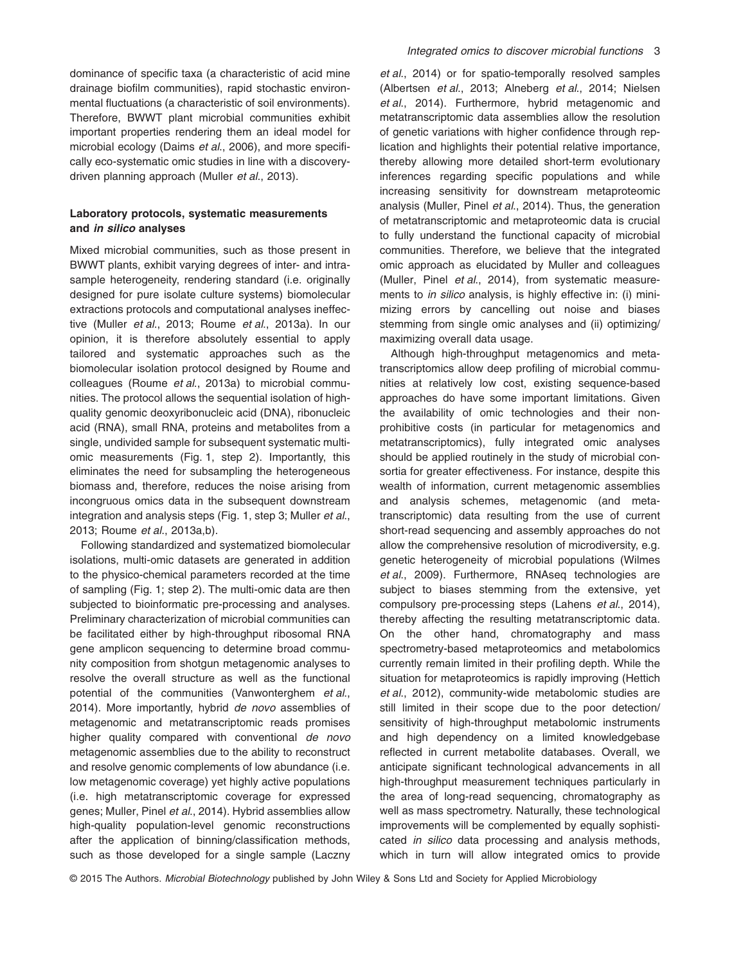dominance of specific taxa (a characteristic of acid mine drainage biofilm communities), rapid stochastic environmental fluctuations (a characteristic of soil environments). Therefore, BWWT plant microbial communities exhibit important properties rendering them an ideal model for microbial ecology (Daims *et al*., 2006), and more specifically eco-systematic omic studies in line with a discoverydriven planning approach (Muller *et al*., 2013).

# **Laboratory protocols, systematic measurements and** *in silico* **analyses**

Mixed microbial communities, such as those present in BWWT plants, exhibit varying degrees of inter- and intrasample heterogeneity, rendering standard (i.e. originally designed for pure isolate culture systems) biomolecular extractions protocols and computational analyses ineffective (Muller *et al*., 2013; Roume *et al*., 2013a). In our opinion, it is therefore absolutely essential to apply tailored and systematic approaches such as the biomolecular isolation protocol designed by Roume and colleagues (Roume *et al*., 2013a) to microbial communities. The protocol allows the sequential isolation of highquality genomic deoxyribonucleic acid (DNA), ribonucleic acid (RNA), small RNA, proteins and metabolites from a single, undivided sample for subsequent systematic multiomic measurements (Fig. 1, step 2). Importantly, this eliminates the need for subsampling the heterogeneous biomass and, therefore, reduces the noise arising from incongruous omics data in the subsequent downstream integration and analysis steps (Fig. 1, step 3; Muller *et al*., 2013; Roume *et al*., 2013a,b).

Following standardized and systematized biomolecular isolations, multi-omic datasets are generated in addition to the physico-chemical parameters recorded at the time of sampling (Fig. 1; step 2). The multi-omic data are then subjected to bioinformatic pre-processing and analyses. Preliminary characterization of microbial communities can be facilitated either by high-throughput ribosomal RNA gene amplicon sequencing to determine broad community composition from shotgun metagenomic analyses to resolve the overall structure as well as the functional potential of the communities (Vanwonterghem *et al*., 2014). More importantly, hybrid *de novo* assemblies of metagenomic and metatranscriptomic reads promises higher quality compared with conventional *de novo* metagenomic assemblies due to the ability to reconstruct and resolve genomic complements of low abundance (i.e. low metagenomic coverage) yet highly active populations (i.e. high metatranscriptomic coverage for expressed genes; Muller, Pinel *et al*., 2014). Hybrid assemblies allow high-quality population-level genomic reconstructions after the application of binning/classification methods, such as those developed for a single sample (Laczny *et al*., 2014) or for spatio-temporally resolved samples (Albertsen *et al*., 2013; Alneberg *et al*., 2014; Nielsen *et al*., 2014). Furthermore, hybrid metagenomic and metatranscriptomic data assemblies allow the resolution of genetic variations with higher confidence through replication and highlights their potential relative importance, thereby allowing more detailed short-term evolutionary inferences regarding specific populations and while increasing sensitivity for downstream metaproteomic analysis (Muller, Pinel *et al*., 2014). Thus, the generation of metatranscriptomic and metaproteomic data is crucial to fully understand the functional capacity of microbial communities. Therefore, we believe that the integrated omic approach as elucidated by Muller and colleagues (Muller, Pinel *et al*., 2014), from systematic measurements to *in silico* analysis, is highly effective in: (i) minimizing errors by cancelling out noise and biases stemming from single omic analyses and (ii) optimizing/ maximizing overall data usage.

Although high-throughput metagenomics and metatranscriptomics allow deep profiling of microbial communities at relatively low cost, existing sequence-based approaches do have some important limitations. Given the availability of omic technologies and their nonprohibitive costs (in particular for metagenomics and metatranscriptomics), fully integrated omic analyses should be applied routinely in the study of microbial consortia for greater effectiveness. For instance, despite this wealth of information, current metagenomic assemblies and analysis schemes, metagenomic (and metatranscriptomic) data resulting from the use of current short-read sequencing and assembly approaches do not allow the comprehensive resolution of microdiversity, e.g. genetic heterogeneity of microbial populations (Wilmes *et al*., 2009). Furthermore, RNAseq technologies are subject to biases stemming from the extensive, yet compulsory pre-processing steps (Lahens *et al*., 2014), thereby affecting the resulting metatranscriptomic data. On the other hand, chromatography and mass spectrometry-based metaproteomics and metabolomics currently remain limited in their profiling depth. While the situation for metaproteomics is rapidly improving (Hettich *et al*., 2012), community-wide metabolomic studies are still limited in their scope due to the poor detection/ sensitivity of high-throughput metabolomic instruments and high dependency on a limited knowledgebase reflected in current metabolite databases. Overall, we anticipate significant technological advancements in all high-throughput measurement techniques particularly in the area of long-read sequencing, chromatography as well as mass spectrometry. Naturally, these technological improvements will be complemented by equally sophisticated *in silico* data processing and analysis methods, which in turn will allow integrated omics to provide

© 2015 The Authors. *Microbial Biotechnology* published by John Wiley & Sons Ltd and Society for Applied Microbiology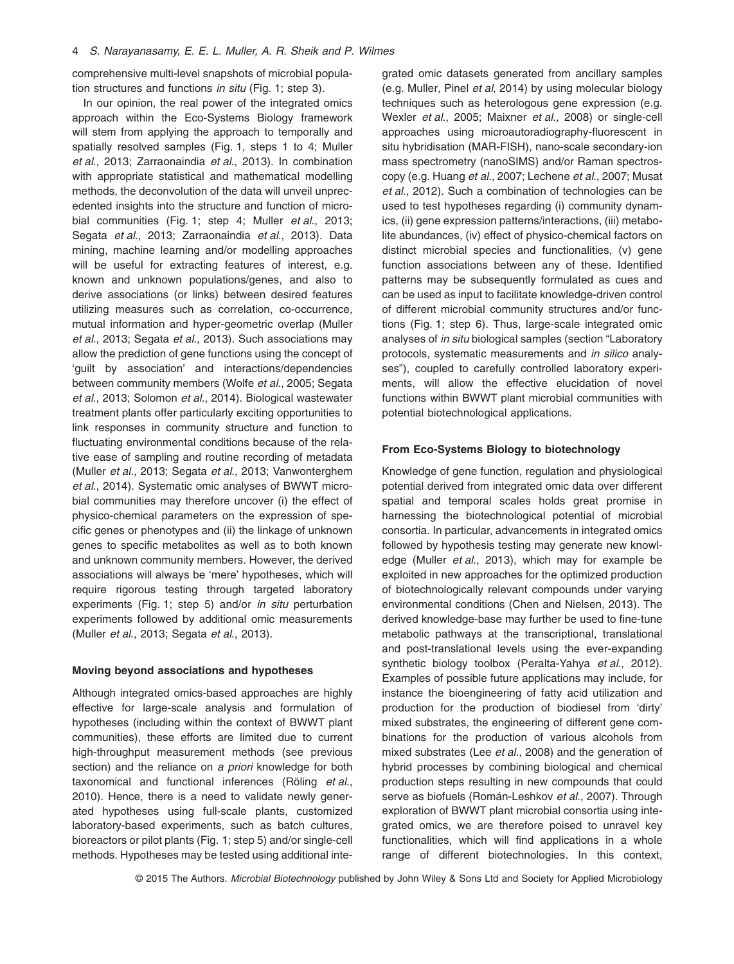comprehensive multi-level snapshots of microbial population structures and functions *in situ* (Fig. 1; step 3).

In our opinion, the real power of the integrated omics approach within the Eco-Systems Biology framework will stem from applying the approach to temporally and spatially resolved samples (Fig. 1, steps 1 to 4; Muller *et al*., 2013; Zarraonaindia *et al*., 2013). In combination with appropriate statistical and mathematical modelling methods, the deconvolution of the data will unveil unprecedented insights into the structure and function of microbial communities (Fig. 1; step 4; Muller *et al*., 2013; Segata *et al*., 2013; Zarraonaindia *et al*., 2013). Data mining, machine learning and/or modelling approaches will be useful for extracting features of interest, e.g. known and unknown populations/genes, and also to derive associations (or links) between desired features utilizing measures such as correlation, co-occurrence, mutual information and hyper-geometric overlap (Muller *et al*., 2013; Segata *et al*., 2013). Such associations may allow the prediction of gene functions using the concept of 'guilt by association' and interactions/dependencies between community members (Wolfe *et al*., 2005; Segata *et al*., 2013; Solomon *et al*., 2014). Biological wastewater treatment plants offer particularly exciting opportunities to link responses in community structure and function to fluctuating environmental conditions because of the relative ease of sampling and routine recording of metadata (Muller *et al*., 2013; Segata *et al*., 2013; Vanwonterghem *et al*., 2014). Systematic omic analyses of BWWT microbial communities may therefore uncover (i) the effect of physico-chemical parameters on the expression of specific genes or phenotypes and (ii) the linkage of unknown genes to specific metabolites as well as to both known and unknown community members. However, the derived associations will always be 'mere' hypotheses, which will require rigorous testing through targeted laboratory experiments (Fig. 1; step 5) and/or *in situ* perturbation experiments followed by additional omic measurements (Muller *et al*., 2013; Segata *et al*., 2013).

#### **Moving beyond associations and hypotheses**

Although integrated omics-based approaches are highly effective for large-scale analysis and formulation of hypotheses (including within the context of BWWT plant communities), these efforts are limited due to current high-throughput measurement methods (see previous section) and the reliance on *a priori* knowledge for both taxonomical and functional inferences (Röling *et al*., 2010). Hence, there is a need to validate newly generated hypotheses using full-scale plants, customized laboratory-based experiments, such as batch cultures, bioreactors or pilot plants (Fig. 1; step 5) and/or single-cell methods. Hypotheses may be tested using additional integrated omic datasets generated from ancillary samples (e.g. Muller, Pinel *et al*, 2014) by using molecular biology techniques such as heterologous gene expression (e.g. Wexler *et al*., 2005; Maixner *et al*., 2008) or single-cell approaches using microautoradiography-fluorescent in situ hybridisation (MAR-FISH), nano-scale secondary-ion mass spectrometry (nanoSIMS) and/or Raman spectroscopy (e.g. Huang *et al*., 2007; Lechene *et al*., 2007; Musat *et al*., 2012). Such a combination of technologies can be used to test hypotheses regarding (i) community dynamics, (ii) gene expression patterns/interactions, (iii) metabolite abundances, (iv) effect of physico-chemical factors on distinct microbial species and functionalities, (v) gene function associations between any of these. Identified patterns may be subsequently formulated as cues and can be used as input to facilitate knowledge-driven control of different microbial community structures and/or functions (Fig. 1; step 6). Thus, large-scale integrated omic analyses of *in situ* biological samples (section "Laboratory protocols, systematic measurements and *in silico* analyses"), coupled to carefully controlled laboratory experiments, will allow the effective elucidation of novel functions within BWWT plant microbial communities with potential biotechnological applications.

#### **From Eco-Systems Biology to biotechnology**

Knowledge of gene function, regulation and physiological potential derived from integrated omic data over different spatial and temporal scales holds great promise in harnessing the biotechnological potential of microbial consortia. In particular, advancements in integrated omics followed by hypothesis testing may generate new knowledge (Muller *et al*., 2013), which may for example be exploited in new approaches for the optimized production of biotechnologically relevant compounds under varying environmental conditions (Chen and Nielsen, 2013). The derived knowledge-base may further be used to fine-tune metabolic pathways at the transcriptional, translational and post-translational levels using the ever-expanding synthetic biology toolbox (Peralta-Yahya *et al*., 2012). Examples of possible future applications may include, for instance the bioengineering of fatty acid utilization and production for the production of biodiesel from 'dirty' mixed substrates, the engineering of different gene combinations for the production of various alcohols from mixed substrates (Lee *et al*., 2008) and the generation of hybrid processes by combining biological and chemical production steps resulting in new compounds that could serve as biofuels (Román-Leshkov *et al*., 2007). Through exploration of BWWT plant microbial consortia using integrated omics, we are therefore poised to unravel key functionalities, which will find applications in a whole range of different biotechnologies. In this context,

© 2015 The Authors. *Microbial Biotechnology* published by John Wiley & Sons Ltd and Society for Applied Microbiology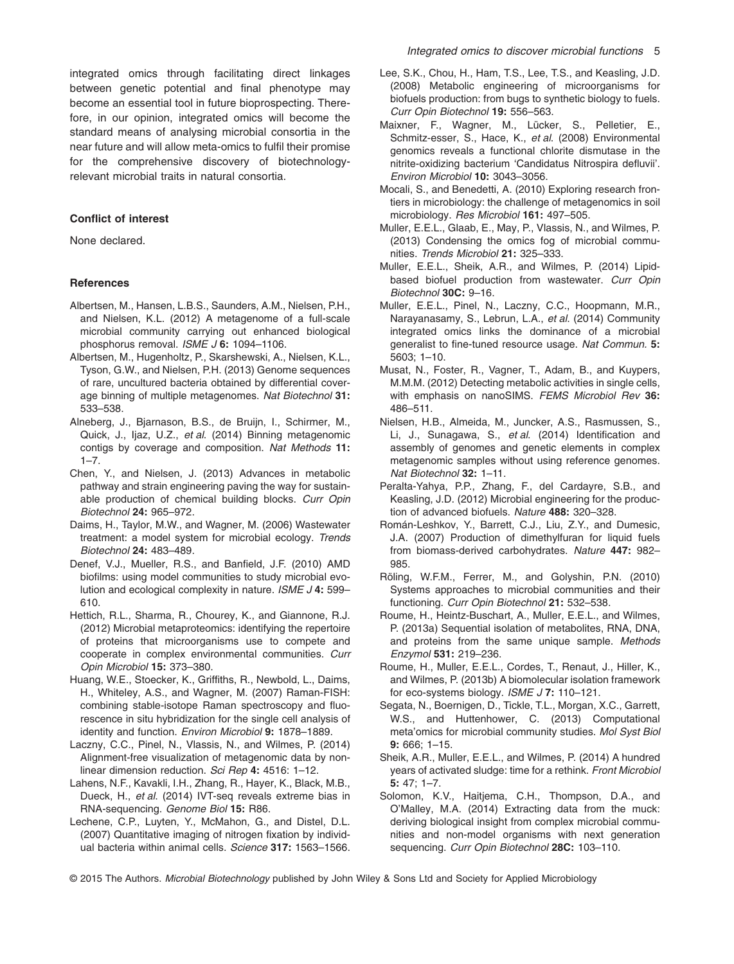integrated omics through facilitating direct linkages between genetic potential and final phenotype may become an essential tool in future bioprospecting. Therefore, in our opinion, integrated omics will become the standard means of analysing microbial consortia in the near future and will allow meta-omics to fulfil their promise for the comprehensive discovery of biotechnologyrelevant microbial traits in natural consortia.

#### **Conflict of interest**

None declared.

#### **References**

- Albertsen, M., Hansen, L.B.S., Saunders, A.M., Nielsen, P.H., and Nielsen, K.L. (2012) A metagenome of a full-scale microbial community carrying out enhanced biological phosphorus removal. *ISME J* **6:** 1094–1106.
- Albertsen, M., Hugenholtz, P., Skarshewski, A., Nielsen, K.L., Tyson, G.W., and Nielsen, P.H. (2013) Genome sequences of rare, uncultured bacteria obtained by differential coverage binning of multiple metagenomes. *Nat Biotechnol* **31:** 533–538.
- Alneberg, J., Bjarnason, B.S., de Bruijn, I., Schirmer, M., Quick, J., Ijaz, U.Z., *et al*. (2014) Binning metagenomic contigs by coverage and composition. *Nat Methods* **11:**  $1 - 7$ .
- Chen, Y., and Nielsen, J. (2013) Advances in metabolic pathway and strain engineering paving the way for sustainable production of chemical building blocks. *Curr Opin Biotechnol* **24:** 965–972.
- Daims, H., Taylor, M.W., and Wagner, M. (2006) Wastewater treatment: a model system for microbial ecology. *Trends Biotechnol* **24:** 483–489.
- Denef, V.J., Mueller, R.S., and Banfield, J.F. (2010) AMD biofilms: using model communities to study microbial evolution and ecological complexity in nature. *ISME J* **4:** 599– 610.
- Hettich, R.L., Sharma, R., Chourey, K., and Giannone, R.J. (2012) Microbial metaproteomics: identifying the repertoire of proteins that microorganisms use to compete and cooperate in complex environmental communities. *Curr Opin Microbiol* **15:** 373–380.
- Huang, W.E., Stoecker, K., Griffiths, R., Newbold, L., Daims, H., Whiteley, A.S., and Wagner, M. (2007) Raman-FISH: combining stable-isotope Raman spectroscopy and fluorescence in situ hybridization for the single cell analysis of identity and function. *Environ Microbiol* **9:** 1878–1889.
- Laczny, C.C., Pinel, N., Vlassis, N., and Wilmes, P. (2014) Alignment-free visualization of metagenomic data by nonlinear dimension reduction. *Sci Rep* **4:** 4516: 1–12.
- Lahens, N.F., Kavakli, I.H., Zhang, R., Hayer, K., Black, M.B., Dueck, H., *et al*. (2014) IVT-seq reveals extreme bias in RNA-sequencing. *Genome Biol* **15:** R86.
- Lechene, C.P., Luyten, Y., McMahon, G., and Distel, D.L. (2007) Quantitative imaging of nitrogen fixation by individual bacteria within animal cells. *Science* **317:** 1563–1566.
- Lee, S.K., Chou, H., Ham, T.S., Lee, T.S., and Keasling, J.D. (2008) Metabolic engineering of microorganisms for biofuels production: from bugs to synthetic biology to fuels. *Curr Opin Biotechnol* **19:** 556–563.
- Maixner, F., Wagner, M., Lücker, S., Pelletier, E., Schmitz-esser, S., Hace, K., *et al*. (2008) Environmental genomics reveals a functional chlorite dismutase in the nitrite-oxidizing bacterium 'Candidatus Nitrospira defluvii'. *Environ Microbiol* **10:** 3043–3056.
- Mocali, S., and Benedetti, A. (2010) Exploring research frontiers in microbiology: the challenge of metagenomics in soil microbiology. *Res Microbiol* **161:** 497–505.
- Muller, E.E.L., Glaab, E., May, P., Vlassis, N., and Wilmes, P. (2013) Condensing the omics fog of microbial communities. *Trends Microbiol* **21:** 325–333.
- Muller, E.E.L., Sheik, A.R., and Wilmes, P. (2014) Lipidbased biofuel production from wastewater. *Curr Opin Biotechnol* **30C:** 9–16.
- Muller, E.E.L., Pinel, N., Laczny, C.C., Hoopmann, M.R., Narayanasamy, S., Lebrun, L.A., *et al*. (2014) Community integrated omics links the dominance of a microbial generalist to fine-tuned resource usage. *Nat Commun.* **5:** 5603; 1–10.
- Musat, N., Foster, R., Vagner, T., Adam, B., and Kuypers, M.M.M. (2012) Detecting metabolic activities in single cells, with emphasis on nanoSIMS. *FEMS Microbiol Rev* **36:** 486–511.
- Nielsen, H.B., Almeida, M., Juncker, A.S., Rasmussen, S., Li, J., Sunagawa, S., *et al*. (2014) Identification and assembly of genomes and genetic elements in complex metagenomic samples without using reference genomes. *Nat Biotechnol* **32:** 1–11.
- Peralta-Yahya, P.P., Zhang, F., del Cardayre, S.B., and Keasling, J.D. (2012) Microbial engineering for the production of advanced biofuels. *Nature* **488:** 320–328.
- Román-Leshkov, Y., Barrett, C.J., Liu, Z.Y., and Dumesic, J.A. (2007) Production of dimethylfuran for liquid fuels from biomass-derived carbohydrates. *Nature* **447:** 982– 985.
- Röling, W.F.M., Ferrer, M., and Golyshin, P.N. (2010) Systems approaches to microbial communities and their functioning. *Curr Opin Biotechnol* **21:** 532–538.
- Roume, H., Heintz-Buschart, A., Muller, E.E.L., and Wilmes, P. (2013a) Sequential isolation of metabolites, RNA, DNA, and proteins from the same unique sample. *Methods Enzymol* **531:** 219–236.
- Roume, H., Muller, E.E.L., Cordes, T., Renaut, J., Hiller, K., and Wilmes, P. (2013b) A biomolecular isolation framework for eco-systems biology. *ISME J* **7:** 110–121.
- Segata, N., Boernigen, D., Tickle, T.L., Morgan, X.C., Garrett, W.S., and Huttenhower, C. (2013) Computational meta'omics for microbial community studies. *Mol Syst Biol* **9:** 666; 1–15.
- Sheik, A.R., Muller, E.E.L., and Wilmes, P. (2014) A hundred years of activated sludge: time for a rethink. *Front Microbiol* **5:** 47; 1–7.
- Solomon, K.V., Haitjema, C.H., Thompson, D.A., and O'Malley, M.A. (2014) Extracting data from the muck: deriving biological insight from complex microbial communities and non-model organisms with next generation sequencing. *Curr Opin Biotechnol* **28C:** 103–110.

<sup>© 2015</sup> The Authors. *Microbial Biotechnology* published by John Wiley & Sons Ltd and Society for Applied Microbiology